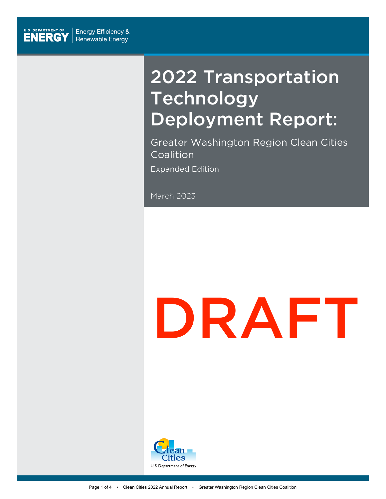

## 2022 Transportation Technology Deployment Report:

Greater Washington Region Clean Cities Coalition Expanded Edition

March 2023

# DRAFT

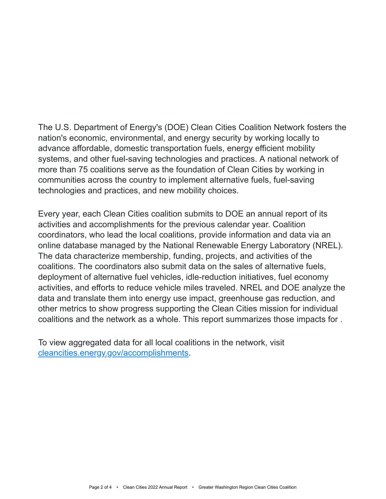The U.S. Department of Energy's (DOE) Clean Cities Coalition Network fosters the nation's economic, environmental, and energy security by working locally to advance affordable, domestic transportation fuels, energy efficient mobility systems, and other fuel-saving technologies and practices. A national network of more than 75 coalitions serve as the foundation of Clean Cities by working in communities across the country to implement alternative fuels, fuel-saving technologies and practices, and new mobility choices.

Every year, each Clean Cities coalition submits to DOE an annual report of its activities and accomplishments for the previous calendar year. Coalition coordinators, who lead the local coalitions, provide information and data via an online database managed by the National Renewable Energy Laboratory (NREL). The data characterize membership, funding, projects, and activities of the coalitions. The coordinators also submit data on the sales of alternative fuels, deployment of alternative fuel vehicles, idle-reduction initiatives, fuel economy activities, and efforts to reduce vehicle miles traveled. NREL and DOE analyze the data and translate them into energy use impact, greenhouse gas reduction, and other metrics to show progress supporting the Clean Cities mission for individual coalitions and the network as a whole. This report summarizes those impacts for .

To view aggregated data for all local coalitions in the network, visit [cleancities.energy.gov/accomplishments](https://cleancities.energy.gov/accomplishments/).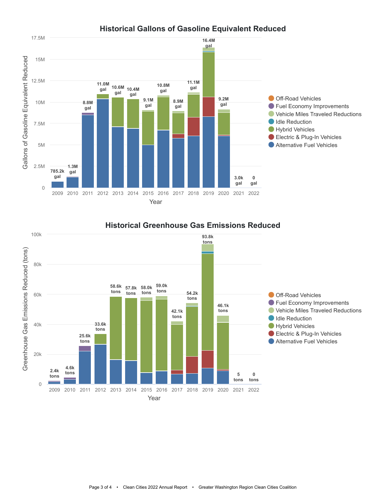

#### 100k **93.8k tons** Greenhouse Gas Emissions Reduced (tons) Greenhouse Gas Emissions Reduced (tons) 80k **59.0k 58.6k 57.8k 58.0k tons tons tons 54.2k tons** 60k **Off-Road Vehicles tons • Fuel Economy Improvements 46.1k 42.1k tons** Vehicle Miles Traveled Reductions **tons** Idle Reduction **33.6k** 40k **Hybrid Vehicles tons** Electric & Plug-In Vehicles **25.6k Alternative Fuel Vehicles tons** 20k **4.6k 2.4k tons 0 5 tons tons tons**0 2009 2010 2011 2012 2013 2014 2015 2016 2017 2018 2019 2020 2021 2022 Year

#### **Historical Greenhouse Gas Emissions Reduced**